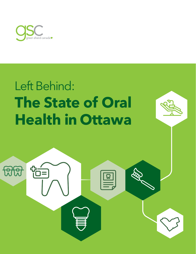

# **The State of Oral Health in Ottawa** Left Behind:

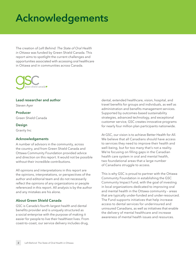## **Acknowledgements**

The creation of *Left Behind: The State of Oral Health in Ottawa* was funded by Green Shield Canada. This report aims to spotlight the current challenges and opportunities associated with accessing oral healthcare in Ottawa and in communities across Canada.



#### **Lead researcher and author**

Steven Ayer

**Producer** Green Shield Canada

**Design**

Gravity Inc

#### **Acknowledgements**

A number of advisors in the community, across the country, and from Green Shield Canada and Ottawa Community Foundation provided advice and direction on this report. It would not be possible without their incredible contributions.

All opinions and interpretations in this report are the opinions, interpretations, or perspectives of the author and editorial team and do not necessarily reflect the opinions of any organizations or people referenced in this report. All analysis is by the author and any mistakes are his alone.

#### **About Green Shield Canada**

GSC is Canada's fourth-largest health and dental benefits provider and is uniquely structured as a social enterprise with the purpose of making it easier for people to live their healthiest lives. From coast-to-coast, our service delivery includes drug,

dental, extended healthcare, vision, hospital, and travel benefits for groups and individuals, as well as administration and benefits management services. Supported by outcomes-based sustainability strategies, advanced technology, and exceptional customer service, GSC creates innovative programs for nearly four million plan participants nationwide.

At GSC, our vision is to achieve Better Health for All. We believe that all Canadians should have access to services they need to improve their health and well-being, but for too many that's not a reality. We're focusing on filling gaps in the Canadian health care system in oral and mental health, two foundational areas that a large number of Canadians struggle to access.

This is why GSC is proud to partner with the Ottawa Community Foundation in establishing the GSC Community Impact Fund, with the goal of investing in local organizations dedicated to improving oral and mental health in the Ottawa community – areas that are typically under-funded and under-resourced. The Fund supports initiatives that help increase access to dental services for underinsured and uninsured Canadians, as well as initiatives that enable the delivery of mental healthcare and increase awareness of mental health issues and resources.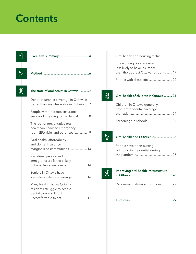## **Contents**

| The state of oral health in Ottawa7                                                                                |
|--------------------------------------------------------------------------------------------------------------------|
| Dental insurance coverage in Ottawa is<br>better than anywhere else in Ontario 7                                   |
| People without dental insurance<br>are avoiding going to the dentist 8                                             |
| The lack of preventative oral<br>healthcare leads to emergency<br>room (ER) visits and other costs 9               |
| Oral health, affordability,<br>and dental insurance in<br>marginalized communities  13                             |
| Racialized people and<br>immigrants are far less likely<br>to have dental insurance  14                            |
| Seniors in Ottawa have<br>low rates of dental coverage  16                                                         |
| Many food insecure Ottawa<br>residents struggle to access<br>dental care and find it<br>uncomfortable to eat<br>17 |

| Oral health and housing status  18                                                                 |  |
|----------------------------------------------------------------------------------------------------|--|
| The working poor are even<br>less likely to have insurance<br>than the poorest Ottawa residents 19 |  |
|                                                                                                    |  |

**4**

#### **[Oral health of children in Ottawa ...........](#page-23-0) 24**

| Children in Ottawa generally |  |
|------------------------------|--|
| have better dental coverage  |  |
|                              |  |
| Screenings in schools 24     |  |



#### **[Oral health and COVID-19 .......................](#page-24-0) 25**

| People have been putting        |  |
|---------------------------------|--|
| off going to the dentist during |  |
|                                 |  |



#### **Improving oral health infrastructure**

| Recommendations and options  27 |
|---------------------------------|
|---------------------------------|

|--|--|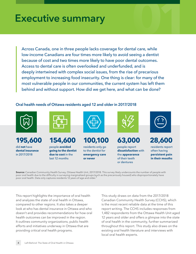### <span id="page-3-0"></span>**Executive summary**

**01** Across Canada, one in three people lacks coverage for dental care, while low-income Canadians are four times more likely to avoid seeing a dentist because of cost and two times more likely to have poor dental outcomes. Access to dental care is often overlooked and underfunded, and is deeply intertwined with complex social issues, from the rise of precarious employment to increasing food insecurity. One thing is clear: for many of the most vulnerable people in our communities, the current system has left them behind and without support. How did we get here, and what can be done?

#### **Oral health needs of Ottawa residents aged 12 and older in 2017/2018**



**195,600** 

did **not** have **dental insurance** in 2017/2018



**154,600** 

people **avoided going to the dentist due to cost** in the last 12 months



**100,100** 

residents only go to the dentist for **emergency care or never**

**63,000** 

people report **dissatisfaction** with the **appearance** of their teeth or dentures



**28,600**  residents report often having **persistent pain** 

**in their mouths**

**Source:** Canadian Community Health Survey, Ottawa Health Unit, 2017/2018. This survey likely undercounts the number of people with poor oral health due to the difficulty in surveying marginalized groups (such as the precariously housed) who disproportionately have poor oral health. Data only captures residents [1](#page-28-1)2 years of age and older.

This report highlights the importance of oral health and analyzes the state of oral health in Ottawa, compared to other regions. It also takes a deeper look at who has dental insurance in Ottawa and who doesn't and provides recommendations for how oral health outcomes can be improved in the region. It outlines community organizations, public health efforts and initiatives underway in Ottawa that are providing critical oral health programs.

<span id="page-3-1"></span>This study draws on data from the 2017/2018 Canadian Community Health Survey (CCHS), which is the most recent reliable data at the time of this report writing. The CCHS includes responses from 1,482 respondents from the Ottawa Health Unit aged 12 years and older and offers a glimpse into the state of oral health in the community, further summarized throughout this report. This study also draws on the existing oral health literature and interviews with local oral health experts.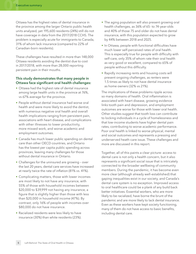Ottawa has the highest rates of dental insurance in the province among the larger Ontario public health units analyzed, yet 195,600 residents (24%) still do not have coverage in data from the 2017/2018 CCHS. The problem is especially acute for immigrants to Canada, 31% of whom lack insurance (compared to 22% of Canadian-born residents).

These challenges have resulted in more than 148,000 Ottawa residents avoiding the dentist due to cost in 2017/2018, with more than 28,000 reporting persistent pain in their mouths.

#### **This study demonstrates that many people in Ottawa face significant oral health challenges:**

- Ottawa had the highest rate of dental insurance among large health units in the province at 76%, vs 67% average for the province.
- People without dental insurance had worse oral health and were more likely to avoid the dentist, with numerous negative oral health and overall health implications ranging from persistent pain, associations with heart disease, and complications with other illnesses to lower productivity, more missed work, and worse academic and employment outcomes.
- Canada has much lower public spending on dental care than other OECD countries, and Ontario has the lowest per capita public spending across provinces, leaving many challenges for those without dental insurance in Ontario.
- Challenges for the uninsured are growing over the last 20 years, dental care services have increased at nearly twice the rate of inflation (81% vs. 41%).
- Complicating matters, those with lower incomes are most likely to not have any insurance, with 55% of those with household incomes between \$20,000 to \$39,999 not having any insurance, a figure that is slightly higher than those with less than \$20,000 in household income (47%). By contrast, only 16% of people with incomes over \$80,000 do not have insurance.
- Racialized residents were less likely to have insurance (30%) than white residents (23%).
- The aging population will also present growing oral health challenges, as 36% of 65- to 74-year-olds and 40% of those 75 and older do not have dental insurance, with this population expected to grow by 44% between 2018 and 2025.
- In Ottawa, people with functional difficulties have much lower self-perceived rates of oral health. This is especially true for people with difficulty with self-care, only 35% of whom rate their oral health as very good or excellent, compared to 65% of people without this difficulty.
- Rapidly increasing rents and housing costs will present ongoing challenges, as renters were 1.5 times as likely to not have dental insurance as home owners (32% vs 21%).

The implications of these problems ripple across so many domains of health. Oral inflammation is associated with heart disease, growing evidence links tooth pain and depression, and employment outcomes are worse for those with lower oral health. Other studies suggest that tooth loss can contribute to locking individuals in a cycle of homelessness and that low-income students have higher dental pain rates, contributing to worse academic performance. Poor oral health is linked to worse physical, mental and social outcomes and represents a pressing and underserved heath-care issue. These challenges and more are discussed in this report.

Together, all of this paints a clear picture: access to dental care is not only a health concern, but it also represents a significant social issue that is intricately connected to the broader wellbeing of community members. During the pandemic, it has become even more clear (although already well-established) that gaping inequalities exist in our society, and Canada's dental care system is no exception. Improved access to oral healthcare could be a plank of any build back better initiatives. Essential workers, who are more likely to be racialized, have borne the brunt of the pandemic and are more likely to lack dental insurance. Even as these workers have kept society functioning, many of them do not have access to basic benefits, including dental care.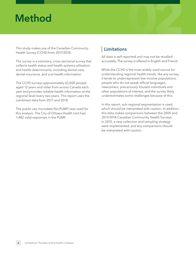## <span id="page-5-0"></span>**Method**

This study makes use of the Canadian Community Health Survey (CCHS) from 2017/2018.

The survey is a voluntary, cross-sectional survey that collects health status and health systems utilization and health determinants, including dental care, dental insurance, and oral health information.

The CCHS surveys approximately 65,000 people aged 12 years and older from across Canada each year and provides reliable health information at the regional level every two years. This report uses the combined data from 2017 and 2018.

The public use microdata file (PUMF) was used for this analysis. The City of Ottawa Health Unit had 1,482 valid responses in the PUMF.

### **Limitations**

All data is self-reported and may not be recalled accurately. The survey is offered in English and French.

**02**

While the CCHS is the most widely used source for understanding regional health trends, like any survey, it tends to underrepresent low-income populations, people who do not speak official languages, newcomers, precariously housed individuals and other populations of interest, and the survey likely underestimates some challenges because of this.

In this report, sub-regional segmentation is used, which should be interpreted with caution. In addition, this data makes comparisons between the 2005 and 2017/2018 Canadian Community Health Surveys. In 2015, a new collection and sampling strategy were implemented, and any comparisons should be interpreted with caution.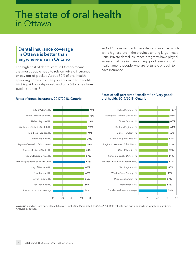### <span id="page-6-0"></span>**03 The state of oral health**  in Ottawa

#### <span id="page-6-1"></span>**Dental insurance coverage in Ottawa is better than anywhere else in Ontario**

The high cost of dental care in Ontario means that most people need to rely on private insurance or pay out-of-pocket. About 50% of oral health spending comes from employer-provided benefits, 44% is paid out-of-pocket, and only 6% comes from public sources.[2](#page-28-2)

76% of Ottawa residents have dental insurance, which is the highest rate in the province among larger health units. Private dental insurance programs have played an essential role in maintaining good levels of oral health among people who are fortunate enough to have insurance.



#### <span id="page-6-2"></span>Rates of dental insurance, 2017/2018, Ontario

#### Rates of self-perceived "excellent" or "very good" oral health, 2017/2018, Ontario



**Source:** Canadian Community Health Survey, Public Use Microdata File, 2017/2018. Data reflects non-age standardized weighted numbers. Analysis by author.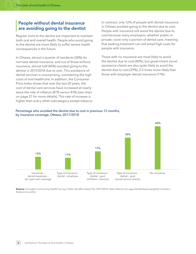#### <span id="page-7-0"></span>**People without dental insurance are avoiding going to the dentist**

Regular visits to the dentist are important to maintain both oral and overall health. People who avoid going to the dentist are more likely to suffer severe health consequences in the future.

In Ottawa, almost a quarter of residents (24%) do not have dental insurance, and out of those without insurance, almost half (40%) avoided going to the dentist in 2017/2018 due to cost. This avoidance of dental services is unsurprising, considering the high costs of oral healthcare. In addition, the Consumer Price Index shows that over the last 20 years, the cost of dental care services have increased at nearly twice the rate of inflation (81% versus 41%) (see chart on page 21 for more details). This rate of increase is higher than every other subcategory except tobacco.

In contrast, only 12% of people with dental insurance in Ottawa avoided going to the dentist due to cost. People with insurance still avoid the dentist due to cost because many employers, whether public or private, cover only a portion of dental care, meaning that seeking treatment can still entail high costs for people with insurance.

Those with no insurance are most likely to avoid the dentist due to cost (40%), but government social assistance clients are also quite likely to avoid the dentist due to cost (29%), 2.5 times more likely than those with employer dental insurance (11%).



#### Percentage who avoided the dentist due to cost in previous 12 months, by insurance coverage, Ottawa, 2017/2018

**Source:** Canadian Community Health Survey, Public Use Microdata File, 2017/2018. Data reflects non-age standardized weighted numbers. Analysis by author.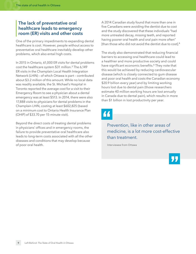#### <span id="page-8-0"></span>**The lack of preventative oral healthcare leads to emergency room (ER) visits and other costs**

One of the primary impediments to expanding dental healthcare is cost. However, people without access to preventative oral healthcare inevitably develop other problems, which also entail high costs.

In 2015 in Ontario, 61,000 ER visits for dental problems cost the healthcare system \$31 million.[3](#page-28-3) The 6,149 ER visits in the Champlain Local Health Integration Network (LHIN) – of which Ottawa is part – contributed about \$3.2 million of this amount. While no local data was readily available, the St. Michael's Hospital in Toronto reported the average cost for a visit to their Emergency Room to see a physician about a dental emergency was at least \$513. In 2014, there were also 17,888 visits to physicians for dental problems in the Champlain LHIN, costing at least \$602,825 (based on a minimum cost to Ontario Health Insurance Plan (OHIP) of \$33.70 per 15-minute visit).

Beyond the direct costs of treating dental problems in physicians' offices and in emergency rooms, the failure to provide preventative oral healthcare also leads to long-term costs associated with all the other diseases and conditions that may develop because of poor oral health.

A 2014 Canadian study found that more than one in five Canadians were avoiding the dentist due to cost and the study discovered that these individuals "had more untreated decay, missing teeth, and reported having poorer oral health and oral pain more often" [than those who did not avoid the dentist due to cost].[4](#page-28-4)

<span id="page-8-3"></span><span id="page-8-2"></span><span id="page-8-1"></span>The study also demonstrated that reducing financial barriers to accessing oral healthcare could lead to a healthier and more productive society and could have significant economic benefits.<sup>[5](#page-28-5)</sup> They note that this would be achieved by reducing cardiovascular disease (which is closely connected to gum disease and poor oral health and costs the Canadian economy \$20.9 billion every year) and by limiting working hours lost due to dental pain (those researchers estimate 40 million working hours are lost annually in Canada due to dental pain), which results in more than \$1 billion in lost productivity per year.

### 44

### Prevention, like in other areas of medicine, is a lot more cost-effective than treatment.

Interviewee from Ottawa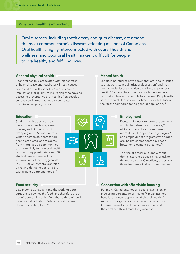#### **Why oral health is important**

Oral diseases, including tooth decay and gum disease, are among the most common chronic diseases affecting millions of Canadians. Oral health is highly interconnected with overall health and wellness, and poor oral health makes it difficult for people to live healthy and fulfilling lives.

#### **General physical health**

Poor oral health is associated with higher rates of heart disease and respiratory illness, causes complications with diabetes,<sup>[6](#page-28-6)</sup> and has broad implications for quality of life. People who have no access to preventative oral health often develop serious conditions that need to be treated in hospital emergency rooms.

#### **Mental health**

<span id="page-9-2"></span>Longitudinal studies have shown that oral health issues such as persistent pain trigger depression<sup>[7](#page-28-7)</sup> and that mental health issues can also contribute to poor oral health.[8](#page-28-8) Poor oral health reduces self-confidence and can make it harder for people to socialize.<sup>[9](#page-28-9)</sup> People with severe mental illnesses are 2.7 times as likely to lose all their teeth compared to the general population.<sup>[10](#page-28-10)</sup>

#### **Education**

<span id="page-9-5"></span>Students with poor oral health have lower attendance, lower grades, and higher odds of dropping out.[11](#page-28-11) Schools across Ontario screen students for oral health problems, and students from marginalized communities are more likely to have oral health problems. Approximately 26,000 students were screened by Ottawa Public Health hygienists in 2014/2015: 9% were identified as having dental needs, and 5% with urgent treatment needs.<sup>[12](#page-28-12)</sup>

<span id="page-9-0"></span>

#### <span id="page-9-4"></span><span id="page-9-3"></span><span id="page-9-1"></span>**Employment**

<span id="page-9-8"></span><span id="page-9-7"></span>Dental pain leads to lower productivity and higher absences from work,<sup>[13](#page-28-13)</sup> while poor oral health can make it more difficult for people to get a job,<sup>[14](#page-28-14)</sup> and employment programs with added oral health components have seen better employment outcomes.[15](#page-28-15)

<span id="page-9-9"></span>The rise of precarious jobs without dental insurance poses a major risk to the oral health of Canadians, especially those from marginalized communities.

#### <span id="page-9-6"></span>**Food security**

<span id="page-9-10"></span>Low-income Canadians and the working poor struggle to buy healthy food, and therefore are at risk of poor oral health. More than a third of food insecure individuals in Ontario report frequent discomfort eating food.<sup>[16](#page-28-16)</sup>

#### **Connection with affordable housing**

<span id="page-9-11"></span>For many Canadians, housing costs have taken an increasing percentage of income,<sup>[17](#page-28-17)</sup> meaning they have less money to spend on their oral health. As rent and mortgage costs continue to soar across Ottawa, the inability of many people to attend to their oral health will most likely increase.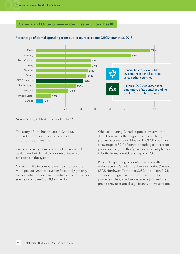#### **Canada and Ontario have underinvested in oral health**



#### Percentage of dental spending from public sources, select OECD countries, 2013

**Source:** Dentistry in Alberta: Time for a Checkup?<sup>[18](#page-28-18)</sup>

The story of oral healthcare in Canada, and in Ontario specifically, is one of chronic underinvestment.

Canadians are generally proud of our universal healthcare, but dental care is one of the major omissions of the system.

Canadians like to compare our healthcare to the more private American system favourably, yet only 5% of dental spending in Canada comes from public sources, compared to 10% in the US.

<span id="page-10-0"></span>When comparing Canada's public investment in dental care with other high-income countries, the picture becomes even bleaker. In OECD countries, an average of 32% of dental spending comes from public sources, and this figure is significantly higher in both Germany (64%) and Japan (77%).

Per capita spending on dental care also differs widely across Canada. The three territories (Nunavut \$302, Northwest Territories \$282, and Yukon \$195) each spend significantly more than any of the provinces. The Canadian average is \$25, and the prairie provinces are all significantly above average.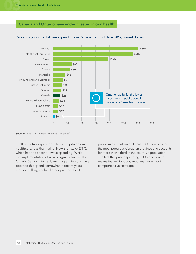#### **Canada and Ontario have underinvested in oral health**



#### Per capita public dental care expenditure in Canada, by jurisdiction, 2017, current dollars

**Source:** Dentist in Alberta: Time for a Checkup?<sup>[19](#page-28-19)</sup>

In 2017, Ontario spent only \$6 per capita on oral healthcare, less than half of New Brunswick (\$17), which had the second lowest spending. While the implementation of new programs such as the Ontario Seniors Dental Care Program in 2019 have boosted this spend somewhat in recent years, Ontario still lags behind other provinces in its

<span id="page-11-0"></span>public investments in oral health. Ontario is by far the most populous Canadian province and accounts for more than a third of the country's population. The fact that public spending in Ontario is so low means that millions of Canadians live without comprehensive coverage.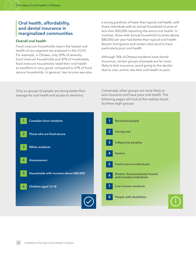#### <span id="page-12-0"></span>**Oral health, affordability, and dental insurance in marginalized communities**

#### **Overall oral health**

Food insecure households report the lowest oral health of any segment we analyzed in the CCHS. For example, in Ottawa, only 50% of severely food insecure households and 47% of moderately food insecure households rated their oral health as excellent or very good, compared to 67% of food secure households. In general, low income was also a strong predictor of lower than typical oral health, with those individuals with an annual household income of less than \$20,000 reporting the worst oral health. In contrast, those with annual household incomes above \$80,000 per year had better-than-typical oral health. Recent immigrants and renters also tend to have particularly poor oral health.

Although 76% of Ottawa residents have dental insurance, certain groups of people are far more likely to lack insurance, avoid going to the dentist due to cost, and to rate their oral health as poor.

Only six groups of people are doing better than average for oral health and access to dentistry:

Conversely, other groups are more likely to lack insurance and have poor oral health. The following pages will look at the realities faced by these eight groups:

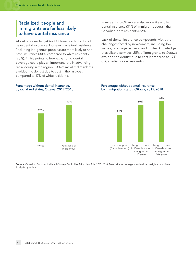#### <span id="page-13-0"></span>**Racialized people and immigrants are far less likely to have dental insurance**

<span id="page-13-1"></span>About one quarter (24%) of Ottawa residents do not have dental insurance. However, racialized residents (including Indigenous peoples) are more likely to not have insurance (30%) compared to white residents (23%).[20](#page-28-20) This points to how expanding dental coverage could play an important role in advancing racial equity in the region. 23% of racialized residents avoided the dentist due to cost in the last year, compared to 17% of white residents.

Immigrants to Ottawa are also more likely to lack dental insurance (31% of immigrants overall) than Canadian-born residents (22%).

Lack of dental insurance compounds with other challenges faced by newcomers, including low wages, language barriers, and limited knowledge of available services. 25% of immigrants to Ottawa avoided the dentist due to cost (compared to 17% of Canadian-born residents).

#### Percentage without dental insurance, by racialized status, Ottawa, 2017/2018



#### Percentage without dental insurance, by immigration status, Ottawa, 2017/2018



**Source:** Canadian Community Health Survey, Public Use Microdata File, 2017/2018. Data reflects non-age standardized weighted numbers. Analysis by author.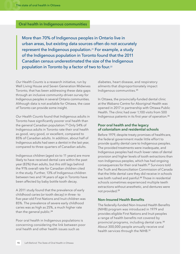#### **Oral health in Indigenous communities**

More than 70% of Indigenous peoples in Ontario live in urban areas, but existing data sources often do not accurately represent the Indigenous population.[21](#page-28-21) For example, a study of the Indigenous population in Toronto found that the 2011 Canadian census underestimated the size of the Indigenous population in Toronto by a factor of two to four.<sup>22</sup>

*Our Health Counts* is a research initiative, run by Well Living House and Seven Generation Midwives Toronto, that has been addressing these data gaps through an inclusive community-driven survey for Indigenous peoples in several Ontario communities. Although data is not available for Ottawa, the case of Toronto can provide some insight.

*Our Health Counts* found that Indigenous adults in Toronto have significantly poorer oral health than the general Canadian population.<sup>[23](#page-28-23)</sup> Only 54% of Indigenous adults in Toronto rate their oral health as good, very good, or excellent, compared to 85% of Canadian adults. In addition, about half of Indigenous adults had seen a dentist in the last year, compared to three-quarters of Canadian adults.

Indigenous children (aged six to 11 years) are more likely to have received dental care within the past year (83%) than adults, but this still lags behind the 91% overall rate for Canadian children cited in the study. Further, 13% of Indigenous children between two and 14 years of age in Toronto have been affected by baby bottle tooth decay.

A 2011 study found that the prevalence of early childhood caries (or tooth decay) in three- to five-year-old First Nations and Inuit children was 85%. The prevalence of severe early childhood caries was as high as 25%, a much higher rate than the general public.<sup>[24](#page-28-24)</sup>

<span id="page-14-3"></span>Poor oral health in Indigenous populations is concerning considering the link between poor oral health and other health issues such as

<span id="page-14-4"></span><span id="page-14-1"></span><span id="page-14-0"></span>diabetes, heart disease, and respiratory ailments that disproportionately impact Indigenous communities.[25](#page-29-0)

In Ottawa, the provincially-funded dental clinic at the Wabano Centre for Aboriginal Health was opened in 2017 in partnership with Ottawa Public Health. The clinic had over 1,100 visits from 500 Indigenous patients in its first year of operation.[26](#page-29-1)

#### <span id="page-14-5"></span><span id="page-14-2"></span>**Poor oral health and the legacy of colonialism and residential schools**

<span id="page-14-6"></span>Before 1979, despite treaty promises of healthcare, the federal government made little effort to provide quality dental care to Indigenous peoples. The provided treatments were inadequate, and Indigenous peoples had much lower rates of dental provision and higher levels of tooth extractions than non-Indigenous peoples, which has had ongoing consequences for their oral health.[27](#page-29-2) Survivors told the Truth and Reconciliation Commission of Canada that the little dental care they did receive in schools was both rushed and painful.<sup>[28](#page-29-3)</sup> Those in residential schools sometimes experienced multiple teeth extractions without anesthetic, and dentures were not provided.[29](#page-29-4)

#### <span id="page-14-8"></span><span id="page-14-7"></span>**Non-Insured Health Benefits**

<span id="page-14-10"></span><span id="page-14-9"></span>The federally-funded Non-Insured Health Benefits (NIHB) program was introduced in 1979 and provides eligible First Nations and Inuit peoples a range of health benefits not covered by provincial programs, including dental care.[30](#page-29-5) About 300,000 people annually receive oral health services through the NIHB.<sup>[31](#page-29-6)</sup>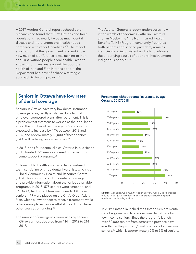A 2017 Auditor General report echoed other research and found that "First Nations and Inuit populations had nearly twice as much dental disease and more unmet oral health needs compared with other Canadians."[32](#page-29-7) The report also found that the government "did not know how much of a difference it was making to Inuit and First Nations people's oral health. Despite knowing for many years about the poor oral health of Inuit and First Nations people, the Department had never finalized a strategic approach to help improve it."

<span id="page-15-2"></span><span id="page-15-1"></span>The Auditor General's report underscores how, in the words of academics Catherin Carstairs and Ian Mosby, the "the Non-Insured Health Benefits (NIHB) Program constantly frustrates both patients and service providers, remains inefficient and inconsistent and fails to address the underlying causes of poor oral health among Indigenous people."[33](#page-29-8)

#### <span id="page-15-0"></span>**Seniors in Ottawa have low rates of dental coverage**

Seniors in Ottawa have very low dental insurance coverage rates, partly explained by a lack of employer-sponsored plans after retirement. This is a problem that threatens to worsen as the population ages. The number of people aged 65 and over is expected to increase by 44% between 2018 and 2025, and approximately 18,000 of these seniors (9.4%) will be living on low incomes.[34](#page-29-9)

<span id="page-15-4"></span>In 2018, at its four dental clinics, Ontario Public Health (OPH) treated 892 seniors covered under various income support programs.[35](#page-29-10)

Ottawa Public Health also has a dental outreach team consisting of three dental hygienists who visit 14 local Community Health and Resource Centre (CHRC) locations to conduct dental screenings and provide information about the various available programs. In 2018, 578 seniors were screened, and 363 (63%) had urgent treatment needs. Of these seniors, 177 were placed on the City's Older Adult Plan, which allowed them to receive treatment, while others were placed on a waitlist if they did not have other sources of funding.[36](#page-29-11)

<span id="page-15-5"></span>The number of emergency room visits by seniors in Ottawa almost doubled from 114 in 2012 to 214 in 2017.

#### Percentage without dental insurance, by age, Ottawa, 2017/2018

<span id="page-15-3"></span>

**Source:** Canadian Community Health Survey, Public Use Microdata File, 2017/2018. Data reflects non-age standardized weighted numbers. Analysis by author.

<span id="page-15-7"></span><span id="page-15-6"></span>In 2019, Ontario launched the Ontario Seniors Dental Care Program, which provides free dental care for low-income seniors. Since the program's launch, over 50,000 seniors from across the province have enrolled in the program,<sup>[37](#page-29-12)</sup> out of a total of 2.5 million seniors,<sup>[38](#page-29-13)</sup> which is approximately 2% to 3% of seniors.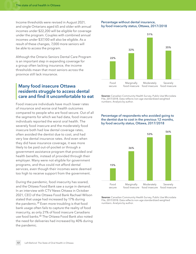Income thresholds were revised in August 2021, and single Ontarians aged 65 and older with annual incomes under \$22,200 will be eligible for coverage under the program. Couples with combined annual incomes under \$37,100 will also be eligible. As a result of these changes, 7,000 more seniors will be able to access the program.

Although the Ontario Seniors Dental Care Program is an important step in expanding coverage for a group often lacking insurance, the income thresholds mean that most seniors across the province still lack insurance.

#### <span id="page-16-0"></span>**Many food insecure Ottawa residents struggle to access dental care and find it uncomfortable to eat**

Food insecure individuals have much lower rates of insurance and worse oral health outcomes compared to people who are food secure. Out of all the segments for which we had data, food insecure individuals reported the worst oral health. The severely food insecure and the moderately food insecure both had low dental coverage rates, often avoided the dentist due to cost, and had very low dental insurance rates. And even when they did have insurance coverage, it was more likely to be paid out-of-pocket or through a government assistance program that provided oral health benefits, instead of provided through their employer. Many were not eligible for government programs, and thus could not afford dental services, even though their incomes were deemed too high to receive support from the government.

<span id="page-16-2"></span><span id="page-16-1"></span>During the pandemic, food insecurity has soared, and the Ottawa Food Bank saw a surge in demand. In an interview with CTV News Ottawa in October 2021, CEO of the Ottawa Food Bank Rachael Wilson stated that usage had increased by 17% during the pandemic.<sup>[39](#page-29-14)</sup> Even more troubling is that food bank usage often fails to capture the reality of food insecurity, as only 21% of food insecure Canadians use food banks.[40](#page-29-15) The Ottawa Food Bank also noted the need for deliveries had increased by 40% during the pandemic.

#### Percentage without dental insurance, by food insecurity status, Ottawa, 2017/2018



**Source:** Canadian Community Health Survey, Public Use Microdata File, 2017/2018. Data reflects non-age standardized weighted numbers. Analysis by author.

#### Percentage of respondents who avoided going to the dentist due to cost in the previous 12 months, by food security status, Ottawa, 2017/2018



**Source:** Canadian Community Health Survey, Public Use Microdata File, 2017/2018. Data reflects non-age standardized weighted numbers. Analysis by author.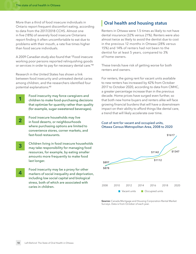**1**

**4**

More than a third of food insecure individuals in Ontario report frequent discomfort eating, according to data from the 2017/2018 CCHS. Almost one in five (18%) of severely food insecure Ontarians report finding it often uncomfortable to eat due to problems with their mouth, a rate five times higher than food secure individuals.

A 2009 Canadian study also found that "Food insecure working poor persons reported relinquishing goods or services in order to pay for necessary dental care."[41](#page-29-16)

Research in the United States has shown a link between food insecurity and untreated dental caries among children, and the researchers identified four potential explanations:[42](#page-29-17)

> <span id="page-17-2"></span>Food insecurity may force caregivers and children to make food-purchasing decisions that optimize for quantity rather than quality (for example, sugar-sweetened beverages).

- Food insecure households may live in food deserts, or neighbourhoods where purchasing options are limited to convenience stores, corner markets, and fast-food restaurants. **2**
- Children living in food insecure households may take responsibility for managing food resources, for example, by eating smaller amounts more frequently to make food last longer. **3**
	- Food insecurity may be a proxy for other markers of social inequality and deprivation, including low social capital and biological stress, both of which are associated with caries in children.

#### <span id="page-17-0"></span>**Oral health and housing status**

Renters in Ottawa were 1.5 times as likely to not have dental insurance (32% versus 21%). Renters were also almost twice as likely to avoid the dentist due to cost in the previous 12 months in Ottawa (28% versus 15%) and 14% of renters had not been to the dentist for at least 5 years, compared to 3% of home owners.

<span id="page-17-1"></span>These trends have risk of getting worse for both renters and owners.

For renters, the going rent for vacant units available to new renters has increased by 42% from October 2017 to October 2020, according to data from CMHC, a greater percentage increase than in the previous decade. Home prices have surged even further, so that both new home buyers and renters alike will face growing financial burdens that will have a downstream impact on their ability to afford things like dental care, a trend that will likely accelerate over time.

#### Cost of rent for vacant and occupied units, Ottawa Census Metropolitan Area, 2008 to 2020



**Source:** Canada Mortgage and Housing Corporation Rental Market Surveys. Data is from October of each year.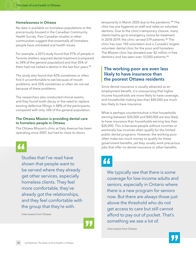#### **Homelessness in Ottawa**

No data is available on homeless populations or the precariously-housed in the Canadian Community Health Survey. Past Canadian studies in other communities suggest that essentially all homeless people have untreated oral health issues.

For example, a 2013 study found that 97% of people in Toronto shelters required dental treatment (compared to 34% of the general population) and that 35% of them had not visited a dentist in the last four years.<sup>[43](#page-29-21)</sup>

The study also found that 42% sometimes or often find it uncomfortable to eat because of mouth problems, and 35% sometimes or often do not eat because of these problems.

The researchers also conducted clinical exams, and they found tooth decay or the need to replace existing defective fillings in 88% of the participants, compared with only 16% of the general population.

#### **The Ottawa Mission is providing dental care to homeless people in Ottawa**

The Ottawa Mission's clinic at Daly Avenue has been operating since 2007, but had to close its doors



Studies that I've read have shown that people want to be served where they already get other services, especially homeless clients. They feel more comfortable, they've already got the relationships, and they feel comfortable with the group that they're with.

Interviewee from Ottawa



<span id="page-18-2"></span><span id="page-18-1"></span>temporarily in March 2020 due to the pandemic.<sup>[44](#page-29-18)</sup> The clinic has one hygienist on staff and relies on volunteer dentists. Due to the clinic's temporary closure, many clients had to go to emergency rooms for treatment. In 2018-2019, the clinic served 579 patients.[45](#page-29-19) The clinic has over 100 volunteers and is Canada's largest volunteer dental clinic for the poor and homeless. The Mission clinic has donated over \$2 million in free dentistry and has seen over 10,000 patients.<sup>[46](#page-29-20)</sup>

#### <span id="page-18-4"></span><span id="page-18-3"></span><span id="page-18-0"></span>**The working poor are even less likely to have insurance than the poorest Ottawa residents**

Since dental insurance is usually obtained as an employment benefit, it is unsurprising that higher income households are more likely to have coverage, and households making less than \$40,000 are much less likely to have insurance.

What is perhaps counterintuitive is that households earning between \$20,000 and \$40,000 are less likely to have insurance than households earning less than \$20,000. This is because people without incomes or extremely low incomes often qualify for the limited public dental programs. However, the working poor often make too much money to qualify for these government benefits, yet they usually work precarious jobs that offer no dental insurance or other benefits.

### "

We typically see that there is some coverage for low-income adults and seniors, especially in Ontario where there is a new program for seniors now. But there are always those just above the threshold who do not get access to care but still cannot afford to pay out of pocket. That's something we see a lot of.

Interviewee from Ottawa

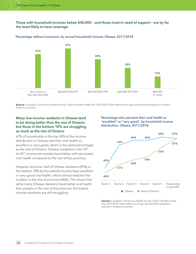**Those with household incomes below \$40,000 – and those most in need of support – are by far the least likely to have coverage.**



#### Percentage without insurance, by annual household income, Ottawa, 2017/2018

**Source:** Canadian Community Health Survey, Public Use Microdata File, 2017/2018. Data reflects non-age standardized weighted numbers. Analysis by author.

#### **Many low-income residents in Ottawa tend to be doing better than the rest of Ontario, but those in the bottom 10% are struggling as much as the rest of Ontario**

67% of households in the top 50% of the income distribution in Ottawa rate their oral health as excellent or very good, which is the same percentage as the rest of Ontario. Ottawa residents in the 10<sup>th</sup> to 50<sup>th</sup> income percentiles have better self-perceived oral health compared to the rest of the province.

However, less than half of Ottawa residents (49%) in the bottom 10% by household income have excellent or very good oral health, which almost matches the number in the rest of province (46%). This shows that while many Ottawa residents have better oral health than people in the rest of the province, the lowestincome residents are still struggling.

#### Percentage who perceive their oral health as "excellent" or "very good", by household income distribution, Ottawa, 2017/2018



**Source:** Canadian Community Health Survey, Public Use Microdata File, 2017/2018. Data reflects non-age standardized weighted numbers. Analysis by author.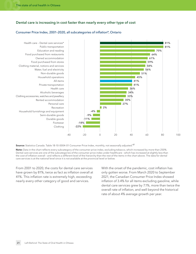#### **Dental care is increasing in cost faster than nearly every other type of cost**

#### Health care – Dental care services\* Public transportation Education and reading Food purchased from restaurants Owned accommodation Food purchased from stores Clothing material, notions and services Water, fuel and electricity Non-durable goods Household operations All-items Private transportation Health care Alcoholic beverages Clothing accessories, watches and jewellery Rented accommodation Personal care Recreation Household furnishings and equipment Semi-durable goods Footwear Durable goods Clothing -40 -20 0 20 40 60 80 100 **81% 81% 70% 64% 61% 58% 59% 56% 51% 45% 36% 41% 41% 34% 33% 30% 27% 2% -4% -9% -11% -18% -22%**

#### Consumer Price Index, 2001–2020, all subcategories of inflation\*, Ontario

**Source:** Statistics Canada. Table 18-10-0004-01 Consumer Price Index, monthly, not seasonally adjusted.<sup>47</sup>

**Note:** Data in the chart reflects every subcategory of the consumer price index, excluding tobacco, which increased by more than 250%. Dental care services are one of the subcategories of the consumer price index under healthcare – which has increased at slightly less than the cost of inflation overall – and reflects a different level of the hierarchy than the rest of the items in the chart above. The data for dental care services is at the national level since it is not available at the provincial level or below.

From 2001 to 2020, the costs for dental care services have grown by 81%, twice as fact as inflation overall at 41%. This inflation rate is extremely high, exceeding nearly every other category of good and services.

<span id="page-20-0"></span>With the onset of the pandemic, cost inflation has only gotten worse. From March 2020 to September 2021, the Canadian Consumer Price Index showed inflation of 3.4% for all items excluding gasoline, while dental care services grew by 7.1%, more than twice the overall rate of inflation, and well beyond the historical rate of about 4% average growth per year.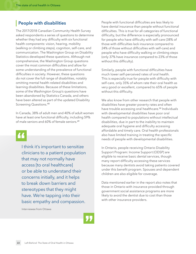### <span id="page-21-0"></span>**People with disabilities**

The 2017/2018 Canadian Community Health Survey asked respondents a series of questions to determine whether they had any difficulty with six functional health components: vision, hearing, mobility (walking or climbing steps), cognition, self-care, and communication. The Washington Group on Disability Statistics developed these questions. Although not comprehensive, the Washington Group questions cover the most common difficulties and allow for some understanding of the prevalence of functional difficulties in society. However, these questions do not cover the full range of disabilities, notably omitting mental health-related disabilities and learning disabilities. Because of these limitations, some of the Washington Group's questions have been abandoned by Statistics Canada, and others have been altered as part of the updated Disability Screening Questions.[48](#page-29-23)

<span id="page-21-1"></span>In Canada, 38% of adult men and 40% of adult women have at least one functional difficulty, including 59% of male seniors and 60% of female seniors.<sup>[49](#page-29-24)</sup>

I think it's important to sensitize clinicians to a patient population that may not normally have access [to oral healthcare] or be able to understand their concerns initially, and it helps to break down barriers and stereotypes that they might have. We're tapping into their basic empathy and compassion.

Interviewee from Ottawa



People with functional difficulties are less likely to have dental insurance than people without functional difficulties. This is true for all categories of functional difficulty, but the difference is especially pronounced for people who have difficulty with self-care (38% of those with difficulties lack insurance compared to 24% of those without difficulties with self-care) and people who have difficulty walking or climbing steps (only 37% have insurance compared to 23% of those without this difficulty).

Similarly, people with functional difficulties have much lower self-perceived rates of oral health. This is especially true for people with difficulty with self-care, only 35% of whom rate their oral health as very good or excellent, compared to 65% of people without this difficulty.

<span id="page-21-3"></span><span id="page-21-2"></span>We also know from other research that people with disabilities have greater poverty rates and often have trouble accessing oral healthcare.<sup>[50](#page-30-0)</sup> Individuals with developmental disabilities have poor oral health compared to populations without intellectual disabilities, due in part to the inability to maintain adequate oral hygiene and difficulty accessing affordable and timely care. Oral health professionals also have limited training in treating the specific needs of people with developmental disabilities.

In Ontario, people receiving Ontario Disability Support Program: Income Support (ODSP) are eligible to receive basic dental services, though many report difficulty accessing these services because many dentists avoid taking patients covered under this benefit program. Spouses and dependent children are also eligible for coverage.

Data mentioned earlier in the report also notes that those in Ontario with insurance provided through government social assistance programs are more likely to avoid the dentist due to cost than those with other insurance providers.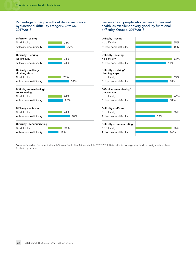#### Percentage of people without dental insurance, by functional difficulty category, Ottawa, 2017/2018

#### Percentage of people who perceived their oral health as excellent or very good, by functional difficulty, Ottawa, 2017/2018

| Difficulty - seeing                        |     | Difficulty - seeing                        |     |
|--------------------------------------------|-----|--------------------------------------------|-----|
| No difficulty                              | 24% | No difficulty                              | 65% |
| At least some difficulty                   | 30% | At least some difficulty                   | 65% |
| Difficulty - hearing                       |     | Difficulty - hearing                       |     |
| No difficulty                              | 24% | No difficulty                              | 66% |
| At least some difficulty                   | 24% | At least some difficulty                   | 55% |
| Difficulty - walking/<br>climbing steps    |     | Difficulty - walking/<br>climbing steps    |     |
| No difficulty                              | 23% | No difficulty                              | 65% |
| At least some difficulty                   | 37% | At least some difficulty                   | 59% |
| Difficulty - remembering/<br>concentrating |     | Difficulty - remembering/<br>concentrating |     |
| No difficulty                              | 24% | No difficulty                              | 66% |
| At least some difficulty                   | 26% | At least some difficulty                   | 59% |
| Difficulty - self-care                     |     | Difficulty - self-care                     |     |
| No difficulty                              | 24% | No difficulty                              | 65% |
| At least some difficulty                   | 38% | At least some difficulty                   | 35% |
| Difficulty - communicating                 |     | Difficulty - communicating                 |     |
| No difficulty                              | 25% | No difficulty                              | 65% |
| At least some difficulty                   | 18% | At least some difficulty                   | 59% |

**Source:** Canadian Community Health Survey, Public Use Microdata File, 2017/2018. Data reflects non-age standardized weighted numbers. Analysis by author.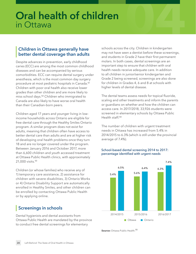# <span id="page-23-0"></span>**Oral health of children Oral health of children**<br>in Ottawa<br>**16**<sup>44</sup> - 2020 - 2021 - 2021 - 2021 - 2021 - 2021 - 2021 - 2022 - 2022 - 2022 - 2022 - 2022 - 2022 - 2022 - 20

#### <span id="page-23-1"></span>**Children in Ottawa generally have better dental coverage than adults**

Despite advances in prevention, early childhood caries (ECC) are among the most common childhood diseases and can be accompanied by serious comorbidities. ECC can require dental surgery under anesthesia, which is the most common day surgery procedure at most pediatric hospitals in Canada.[51](#page-30-1) Children with poor oral health also receive lower grades than other children and are more likely to miss school days.[52](#page-30-2) Children who immigrated to Canada are also likely to have worse oral health than their Canadian-born peers.

<span id="page-23-4"></span>Children aged 17 years and younger living in lowincome households across Ontario are eligible for free dental care through the Healthy Smiles Ontario program. A similar program does not exist for adults, meaning that children often have access to better dental care than adults and are at higher risk of developing oral health problems once they turn 18 and are no longer covered under the program. Between January 2016 and October 2017, more than 6,600 children and youth accessed treatment at Ottawa Public Health clinics, with approximately 21,000 visits.<sup>[53](#page-30-3)</sup>

<span id="page-23-5"></span>Children (or whose families) who receive any of 1) temporary care assistance, 2) assistance for children with severe disabilities, 3) Ontario Works or 4) Ontario Disability Support are automatically enrolled in Healthy Smiles, and other children can be enrolled by contacting Ottawa Public Health or by applying online.

#### <span id="page-23-2"></span>**Screenings in schools**

Dental hygienists and dental assistants from Ottawa Public Health are mandated by the province to conduct free dental screenings for elementary

schools across the city. Children in kindergarten may not have seen a dentist before these screenings, and students in Grade 2 have their first permanent molars. In both cases, dental screenings are an important step to ensure that children with oral health needs receive adequate care. In addition to all children in junior/senior kindergarten and Grade 2 being screened, screenings are also done for children in Grades 4, 6 and 8 at schools with higher levels of dental disease.

<span id="page-23-3"></span>The dental teams assess needs for topical fluoride, scaling and other treatments and inform the parents or guardians on whether and how the children can access care. In 2017/2018, 33,926 students were screened in elementary schools by Ottawa Public Health staff.[54](#page-30-4)

<span id="page-23-6"></span>The number of children with urgent treatment needs in Ottawa has increased from 5.4% in 2014/2015 to 6.3% (which is still under the provincial average of 7.4%).

#### School-based dental screening 2014 to 2017: percentage identified with urgent needs



<span id="page-23-7"></span>**Source:** Ottawa Public Health.<sup>[55](#page-30-5)</sup>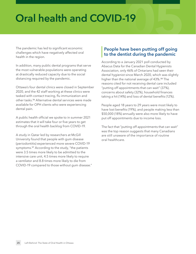## <span id="page-24-0"></span>**Oral health and COVID-19**

The pandemic has led to significant economic challenges which have negatively affected oral health in the region.

In addition, many public dental programs that serve the most vulnerable populations were operating at drastically reduced capacity due to the social distancing required by the pandemic.

<span id="page-24-2"></span>Ottawa's four dental clinics were closed in September 2020, and the 42 staff working at these clinics were tasked with contact tracing, flu immunization and other tasks.[56](#page-30-6) Alternative dental services were made available for OPH clients who were experiencing dental pain.

A public health official we spoke to in summer 2021 estimates that it will take four or five years to get through the oral health backlog from COVID-19.

<span id="page-24-3"></span>A study in Qatar led by researchers at McGill University found that people with gum disease (periodontitis) experienced more severe COVID-19 symptoms.[57](#page-30-7) According to the study, "the patients were 3.5 times more likely to be admitted to the intensive care unit, 4.5 times more likely to require a ventilator and 8.8 times more likely to die from COVID-19 compared to those without gum disease."

# **19**<br> **19**<br> **19**<br> **Depending off going People have been putting off going to the dentist during the pandemic**

<span id="page-24-4"></span><span id="page-24-1"></span>According to a January 2021 poll conducted by Abacus Data for the Canadian Dental Hygienists Association, only 46% of Ontarians had seen their dental hygienist since March 2020, which was slightly higher than the national average of 43%.<sup>[58](#page-30-8)</sup> The reasons cited for not receiving dental care included "putting off appointments that can wait" (37%), concerns about safety (32%), household finances taking a hit (14%) and loss of dental benefits (12%).

People aged 18 years to 29 years were most likely to have lost benefits (19%), and people making less than \$50,000 (18%) annually were also more likely to have put off appointments due to income loss.

The fact that "putting off appointments that can wait" was the top reason suggests that many Canadians are still unaware of the importance of routine oral healthcare.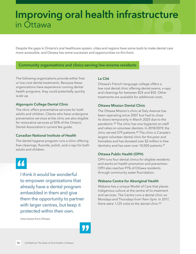### <span id="page-25-0"></span>**06 Improving oral health infrastructure**  in Ottawa

Despite the gaps in Ontario's oral healthcare system, cities and regions have some tools to make dental care more accessible, and Ottawa has some successes and opportunities on this front.

#### **Community organizations and clinics serving low-income residents**

The following organizations provide either free or low-cost dental treatments. Because these organizations have experience running dental health programs, they could potentially quickly scale up.

#### **Algonquin College Dental Clinic**

The clinic offers preventative services for both adults and children. Clients who have undergone preventative services at the clinic are also eligible for restorative services at 50% of the Ontario Dental Association's current fee guide.

#### **Canadian National Institute of Health**

The dental hygiene program runs a clinic offering free cleanings, fluoride, polish, and x-rays for both adults and children.

44

I think it would be wonderful to empower organizations that already have a dental program embedded in them and give them the opportunity to partner with larger centres, but keep it protected within their own.

Interviewee from Ottawa

#### **La Cité**

Ottawa's French-language college offers a low-cost dental clinic offering dental exams, x-rays, and cleanings for between \$25 and \$50. Other treatments are available for additional costs.

#### **Ottawa Mission Dental Clinic**

<span id="page-25-2"></span><span id="page-25-1"></span>The Ottawa Mission's clinic at Daly Avenue has been operating since 2007 but had to close its doors temporarily in March 2020 due to the pandemic.<sup>[59](#page-30-9)</sup> The clinic has one hygienist on staff and relies on volunteer dentists. In 2018/2019, the clinic served 579 patients.<sup>[60](#page-30-10)</sup> The clinic is Canada's largest volunteer dental clinic for the poor and homeless and has donated over \$2 million in free dentistry and has seen over 10,000 patients.<sup>[61](#page-30-11)</sup>

#### <span id="page-25-3"></span>**Ottawa Public Health (OPH)**

OPH runs four dental clinics for eligible residents and works on health promotion and prevention. OPH also reaches 91% of Ottawa residents through community water fluoridation.

#### **Wabano Centre for Aboriginal Health**

<span id="page-25-4"></span>Wabano has a unique Model of Care that places Indigenous culture at the centre of its treatment and services. The Centre runs a dental clinic on Mondays and Thursdays from 9am–5pm. In 2017, there were 1,125 visits to the dental clinic.<sup>[62](#page-30-12)</sup>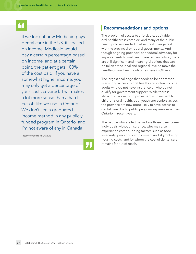If we look at how Medicaid pays dental care in the US, it's based on income. Medicaid would pay a certain percentage based on income, and at a certain point, the patient gets 100% of the cost paid. If you have a somewhat higher income, you may only get a percentage of your costs covered. That makes a lot more sense than a hard cut-off like we use in Ontario. We don't see a graduated income method in any publicly funded program in Ontario, and I'm not aware of any in Canada.

Interviewee from Ottawa



#### <span id="page-26-0"></span>**Recommendations and options**

The problem of access to affordable, equitable oral healthcare is complex, and many of the public health policies needed to effect real change rest with the provincial or federal governments. And though ongoing provincial and federal advocacy for improvements to oral healthcare remain critical, there are still significant and meaningful actions that can be taken at the local and regional level to move the needle on oral health outcomes here in Ottawa.

The largest challenge that needs to be addressed is ensuring access to oral healthcare for low-income adults who do not have insurance or who do not qualify for government support. While there is still a lot of room for improvement with respect to children's oral health, both youth and seniors across the province are now more likely to have access to dental care due to public program expansions across Ontario in recent years.

The people who are left behind are those low-income individuals without insurance, who may also experience compounding factors such as food insecurity, precarious employment and skyrocketing housing costs, and for whom the cost of dental care remains far out of reach.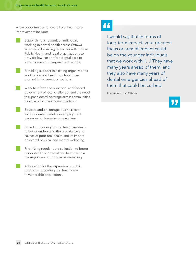A few opportunities for overall oral healthcare improvement include:

- Establishing a network of individuals working in dental health across Ottawa who would be willing to partner with Ottawa Public Health and local organizations to provide low-cost or free dental care to low-income and marginalized people.
	- Providing support to existing organizations working on oral health, such as those profiled in the previous sections.
	- Work to inform the provincial and federal government of local challenges and the need to expand dental coverage across communities, especially for low-income residents.
	- Educate and encourage businesses to include dental benefits in employment packages for lower-income workers.
	- Providing funding for oral health research to better understand the prevalence and causes of poor oral health and its impact on overall physical and mental wellbeing.
- Prioritizing regular data collection to better understand the state of oral health within the region and inform decision-making.
- Advocating for the expansion of public programs, providing oral healthcare to vulnerable populations.

### "

I would say that in terms of long-term impact, your greatest focus or area of impact could be on the younger individuals that we work with. […] They have many years ahead of them, and they also have many years of dental emergencies ahead of them that could be curbed.

Interviewee from Ottawa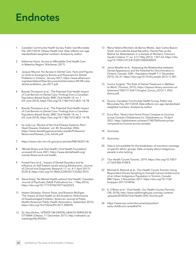## <span id="page-28-0"></span>**Endnotes**

- <span id="page-28-1"></span>[1](#page-3-1) Canadian Community Health Survey, Public Use Microdata File, 2017/2018. Ottawa Health Unit. Data reflects non-age standardized weighted numbers. Analysis by author.
- <span id="page-28-2"></span>[2](#page-6-2) Katherine Horst, 'Access to Affordable Oral Health Care in Waterloo Region' (Kitchener, 2017).
- <span id="page-28-3"></span>[3](#page-8-1) Jacquie Maund, 'No Access to Dental Care: Facts and Figures on Visits to Emergency Rooms and Physicians for Dental Problems in Ontario', January 2017, [https://www.allianceon.](https://www.allianceon.org/sites/default/files/documents/Information-ER-DR-visits-dental-problems_Jan-2017.pdf) [org/sites/default/files/documents/Information-ER-DR-visits](https://www.allianceon.org/sites/default/files/documents/Information-ER-DR-visits-dental-problems_Jan-2017.pdf)[dental-problems\\_Jan-2017.pdf.](https://www.allianceon.org/sites/default/files/documents/Information-ER-DR-visits-dental-problems_Jan-2017.pdf)
- <span id="page-28-4"></span>[4](#page-8-2) Brandy Thompson et al., 'The Potential Oral Health Impact of Cost Barriers to Dental Care: Findings from a Canadian Population-Based Study', BMC Oral Health 14, no. 1 (25 June 2014), <https://doi.org/10.1186/1472-6831-14-78>.
- <span id="page-28-5"></span>[5](#page-8-3) Brandy Thompson et al., 'The Potential Oral Health Impact of Cost Barriers to Dental Care: Findings from a Canadian Population-Based Study', BMC Oral Health 14, no. 1 (25 June 2014), <https://doi.org/10.1186/1472-6831-14-78>.
- <span id="page-28-6"></span>[6](#page-9-0) by Judy Lux, 'Review of the Oral Disease-Systemic Part I: Heart Disease, Diabetes', vol. 40, November 2006, [https://www.dentalhygienecanada.ca/pdfs/Profession/](https://www.dentalhygienecanada.ca/pdfs/Profession/Resources/Disease_Link_Article.pdf) [Resources/Disease\\_Link\\_Article.pdf](https://www.dentalhygienecanada.ca/pdfs/Profession/Resources/Disease_Link_Article.pdf).
- <span id="page-28-7"></span>[7](#page-9-1) <https://www.ncbi.nlm.nih.gov/pmc/articles/PMC4520114/>.
- <span id="page-28-8"></span>[8](#page-9-2) 'Mental Illness and Oral Health | Oral Health Foundation', accessed 20 June 2021, [https://www.dentalhealth.org/](https://www.dentalhealth.org/mental-illness-and-oral-health) [mental-illness-and-oral-health.](https://www.dentalhealth.org/mental-illness-and-oral-health)
- <span id="page-28-9"></span>[9](#page-9-3) Puneet Kaur et al., 'Impact of Dental Disorders and Its Influence on Self Esteem Levels among Adolescents', Journal of Clinical and Diagnostic Research 11, no. 4 (1 April 2017): ZC05–8, [https://doi.org/10.7860/JCDR/2017/23362.9515.](https://doi.org/10.7860/JCDR/2017/23362.9515)
- <span id="page-28-10"></span>[10](#page-9-4) Steve Kisely, 'No Mental Health without Oral Health', Canadian Journal of Psychiatry (SAGE Publications Inc., 1 May 2016), [https://doi.org/10.1177/0706743716632523.](https://doi.org/10.1177/0706743716632523)
- <span id="page-28-11"></span>[11](#page-9-5) Hazem Seirawan, Sharon Faust, and Roseann Mulligan, 'The Impact of Oral Health on the Academic Performance of Disadvantaged Children', American Journal of Public Health (American Public Health Association, September 2012), <https://doi.org/10.2105/AJPH.2011.300478>.
- <span id="page-28-12"></span>[12](#page-9-6) Dr. Vera Etches, 'UPDATE ON DENTAL HEALTH SERVICES IN OTTAWA' (Ottawa, 11 December 2017), [http://ottwatch.ca/](http://ottwatch.ca/meetings/file/492461) [meetings/file/492461](http://ottwatch.ca/meetings/file/492461).
- <span id="page-28-13"></span>[13](#page-9-7) Maria Helena Monteiro de Barros Miotto, Jean Carlos Bazoni Silotti, and Ludmilla Awad Barcellos, 'Dental Pain as the Motive for Absenteeism in a Sample of Workers', Ciencia e Saude Coletiva 17, no. 5 (17 May 2012): 1357–63, [https://doi.](https://doi.org/10.1590/s1413-81232012000500029) [org/10.1590/s1413-81232012000500029](https://doi.org/10.1590/s1413-81232012000500029).
- <span id="page-28-14"></span>Jamie Moeller et al., 'Assessing the Relationship between Dental Appearance and the Potential for Discrimination in Ontario, Canada', SSM – Population Health 1 (1 December 2015): 26–31,<https://doi.org/10.1016/j.ssmph.2015.11.001>.
- <span id="page-28-15"></span>[15](#page-9-9) Sonica Singhal, 'The Role of Dental Treatment in Welfareto-Work' (Toronto, 2015), [https://tspace.library.utoronto.ca/](https://tspace.library.utoronto.ca/bitstream/1807/71334/1/Singhal_Sonica_201511_PhD_thesis.pdf) [bitstream/1807/71334/1/Singhal\\_Sonica\\_201511\\_PhD\\_](https://tspace.library.utoronto.ca/bitstream/1807/71334/1/Singhal_Sonica_201511_PhD_thesis.pdf) [thesis.pdf](https://tspace.library.utoronto.ca/bitstream/1807/71334/1/Singhal_Sonica_201511_PhD_thesis.pdf).
- <span id="page-28-16"></span>[16](#page-9-10) Source: Canadian Community Health Survey, Public Use Microdata File, 2017/2018. Data reflects non-age standardized weighted numbers. Analysis by author.
- <span id="page-28-17"></span>[17](#page-9-11) Erica Alini, 'Here's How Home Prices Compare to Incomes across Canada | Globalnews.Ca', Globalnews.ca, 10 April 2021, [https://globalnews.ca/news/7740756/home-prices](https://globalnews.ca/news/7740756/home-prices-compared-to-income-across-canada/)[compared-to-income-across-canada/](https://globalnews.ca/news/7740756/home-prices-compared-to-income-across-canada/).
- <span id="page-28-18"></span>[18](#page-10-0) Quinonez.
- <span id="page-28-19"></span>[19](#page-11-0) Quinonez.
- <span id="page-28-20"></span>[20](#page-13-1) Data is not available for the breakdown of insurance coverage of specific ethnic groups. Data uniquely about Indigenous people is also lacking.
- <span id="page-28-21"></span>[21](#page-14-0) 'Our Health Counts Toronto', 2019, [https://doi.org/10.1007/](https://doi.org/10.1007/s11524-006-9108-8) [s11524-006-9108-8.](https://doi.org/10.1007/s11524-006-9108-8)
- <span id="page-28-22"></span>[22](#page-14-1) Michael A. Rotondi et al., 'Our Health Counts Toronto: Using Respondent-Driven Sampling to Unmask Census Undercounts of an Urban Indigenous Population in Toronto, Canada', BMJ Open, 3 November 2017, [https://doi.org/10.1136/](https://doi.org/10.1136/bmjopen-2017-018936) [bmjopen-2017-018936](https://doi.org/10.1136/bmjopen-2017-018936).
- <span id="page-28-23"></span>[23](#page-14-2) K. O'Brien et al., 'Oral Health', Our Health Counts (Toronto, ON, 2018), [http://www.welllivinghouse.com/wp-content/](http://www.welllivinghouse.com/wp-content/uploads/2018/02/Oral-Health-OHC-Toronto.pdf) [uploads/2018/02/Oral-Health-OHC-Toronto.pdf](http://www.welllivinghouse.com/wp-content/uploads/2018/02/Oral-Health-OHC-Toronto.pdf).
- <span id="page-28-24"></span>[24](#page-14-3) [https://www.cps.ca/en/documents/position/](https://www.cps.ca/en/documents/position/early-childhood-caries#ref14) [early-childhood-caries#ref14.](https://www.cps.ca/en/documents/position/early-childhood-caries#ref14)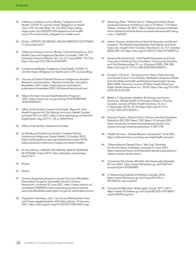- <span id="page-29-0"></span>[25](#page-14-4) Catherine Carstairs and Ian Mosby, 'Indigenous Oral Health, COVID-19, and the Treaty Obligation to Health Care | UTP Journals Blog', 20 July 2020, [https://blog.](https://blog.utpjournals.com/2020/07/20/indigenous-oral-health-covid-19-and-the-treaty-obligation-to) [utpjournals.com/2020/07/20/indigenous-oral-health](https://blog.utpjournals.com/2020/07/20/indigenous-oral-health-covid-19-and-the-treaty-obligation-to)[covid-19-and-the-treaty-obligation-to-health-care/](https://blog.utpjournals.com/2020/07/20/indigenous-oral-health-covid-19-and-the-treaty-obligation-to).
- <span id="page-29-1"></span>[26](#page-14-5) Etches, 'UPDATE ON DENTAL HEALTH SERVICES IN OTTAWA', 11 December 2017.
- <span id="page-29-2"></span>[27](#page-14-6) Catherine Carstairs and Ian Mosby, 'Colonial Extractions: Oral Health Care and Indigenous Peoples in Canada, 1945–79', Canadian Historical Review 101, no. 2 (1 June 2020): 192–216, [https://doi.org/10.3138/chr.2018-0097.](https://doi.org/10.3138/chr.2018-0097)
- <span id="page-29-3"></span>[28](#page-14-7) Carstairs and Mosby, 'Indigenous Oral Health, COVID-19, and the Treaty Obligation to Health Care | UTP Journals Blog'.
- <span id="page-29-4"></span>[29](#page-14-8) 'Impacts of Federal Dental Policies on Indigenous Peoples – Research and Innovation – Ryerson University', Innovation Newsletter, 2021, [https://www.ryerson.ca/research/](https://www.ryerson.ca/research/publications/newsletter/2021-02/federal-dental-policies/) [publications/newsletter/2021-02/federal-dental-policies/](https://www.ryerson.ca/research/publications/newsletter/2021-02/federal-dental-policies/).
- <span id="page-29-5"></span>[30](#page-14-9) 'About the Non-Insured Health Benefits Program', 2021, [https://www.sac-isc.gc.ca/eng/1576790320164/](https://www.sac-isc.gc.ca/eng/1576790320164/1576790364553) [1576790364553](https://www.sac-isc.gc.ca/eng/1576790320164/1576790364553).
- <span id="page-29-6"></span>[31](#page-14-10) Office of the Auditor General of Canada, 'Report 4—Oral Health Programs for First Nations and Inuit—Health Canada', accessed 20 June 2021, [https://www.oag-bvg.gc.ca/internet/](https://www.oag-bvg.gc.ca/internet/English/parl_oag_201711_04_e_42669.html) [English/parl\\_oag\\_201711\\_04\\_e\\_42669.html.](https://www.oag-bvg.gc.ca/internet/English/parl_oag_201711_04_e_42669.html)
- <span id="page-29-7"></span>[32](#page-15-1) Office of the Auditor General of Canada.
- <span id="page-29-8"></span>[33](#page-15-2) Ian Mosby and Catherine Carstairs, 'Federal Policies Undermine Indigenous Dental Health', 5 October 2018, [https://policyoptions.irpp.org/magazines/october-2018/](https://policyoptions.irpp.org/magazines/october-2018/federal-policies-undermine-indigenous-dental-health/) [federal-policies-undermine-indigenous-dental-health/](https://policyoptions.irpp.org/magazines/october-2018/federal-policies-undermine-indigenous-dental-health/).
- <span id="page-29-9"></span>[34](#page-15-3) Dr. Vera Etches, 'UPDATE ON DENTAL HEALTH SERVICES IN OTTAWA', 4 April 2019, [http://ottwatch.ca/meetings/](http://ottwatch.ca/meetings/file/577511) [file/577511](http://ottwatch.ca/meetings/file/577511).
- <span id="page-29-10"></span>[35](#page-15-4) Etches.
- <span id="page-29-11"></span>[36](#page-15-5) Etches.
- <span id="page-29-12"></span>[37](#page-15-6) 'Ontario Expanding Access to Dental Care and Affordable Prescription Drugs for Vulnerable Seniors | Ontario Newsroom', accessed 20 June 2021, [https://news.ontario.ca/](https://news.ontario.ca/en/release/1000095/ontario-expanding-access-to-dental-care-and-affordable-prescription-drugs-for-vulnerable-seniors) [en/release/1000095/ontario-expanding-access-to-dental](https://news.ontario.ca/en/release/1000095/ontario-expanding-access-to-dental-care-and-affordable-prescription-drugs-for-vulnerable-seniors)[care-and-affordable-prescription-drugs-for-vulnerable-seniors](https://news.ontario.ca/en/release/1000095/ontario-expanding-access-to-dental-care-and-affordable-prescription-drugs-for-vulnerable-seniors).
- <span id="page-29-13"></span>[38](#page-15-7) 'Population Estimates, July 1, by Census Metropolitan Area and Census Agglomeration, 2016 Boundaries', 14 January 2021, [https://doi.org/doi.org/10.25318/1710013501-eng.](https://doi.org/doi.org/10.25318/1710013501-eng)
- <span id="page-29-14"></span>Szperling, Peter. "'Perfect Storm': Ottawa Food Bank Faces Increased Demand and Rising Costs | CTV News." CTV News Ottawa, October 28, 2021. [https://ottawa.ctvnews.ca/perfect](https://ottawa.ctvnews.ca/perfect-storm-ottawa-food-bank-faces-increased-demand-and-rising-costs-1.5643025)[storm-ottawa-food-bank-faces-increased-demand-and-rising](https://ottawa.ctvnews.ca/perfect-storm-ottawa-food-bank-faces-increased-demand-and-rising-costs-1.5643025)[costs-1.5643025.](https://ottawa.ctvnews.ca/perfect-storm-ottawa-food-bank-faces-increased-demand-and-rising-costs-1.5643025)
- <span id="page-29-15"></span>[40](#page-16-2) Valerie Tarasuk, Andrée Anne Fafard St-Germain, and Rachel Loopstra, 'The Relationship Between Food Banks and Food Insecurity: Insights from Canada', Voluntas 31, no. 5 (1 October 2020): 841–52, [https://doi.org/10.1007/s11266-019-00092-w.](https://doi.org/10.1007/s11266-019-00092-w)
- <span id="page-29-16"></span>[41](#page-17-1) Vanessa Muirhead et al., 'Oral Health Disparities and Food Insecurity in Working Poor Canadians', Community Dentistry and Oral Epidemiology 37, no. 4 (August 2009): 294–304, <https://doi.org/10.1111/j.1600-0528.2009.00479.x>.
- <span id="page-29-17"></span>[42](#page-17-2) Donald L. Chi et al., 'Socioeconomic Status, Food Security, and Dental Caries in Us Children: Mediation Analyses of Data from the National Health and Nutrition Examination Survey, 2007-2008', American Journal of Public Health (American Public Health Association Inc., 2014), [https://doi.org/10.2105/](https://doi.org/10.2105/AJPH.2013.301699) [AJPH.2013.301699.](https://doi.org/10.2105/AJPH.2013.301699)
- <span id="page-29-21"></span>[43](#page-18-4) Rafael L.F. Figueiredo, Stephen W. Hwang, and Carlos Quiñonez, 'Dental Health of Homeless Adults in Toronto, Canada', Journal of Public Health Dentistry 73, no. 1 (1 December 2013): 74–78, [https://doi.org/10.1111/](https://doi.org/10.1111/j.1752-7325.2012.00355.x) [j.1752-7325.2012.00355.x.](https://doi.org/10.1111/j.1752-7325.2012.00355.x)
- <span id="page-29-18"></span>[44](#page-18-1) Giacomo Panico, 'Dental Clinic's Closure Sending Homeless Patients to ER | CBC News', CBC News, 14 January 2021, [https://www.cbc.ca/news/canada/ottawa/dental-clinic](https://www.cbc.ca/news/canada/ottawa/dental-clinic-closure-forcing-homeless-patients-er-1.5871798)[closure-forcing-homeless-patients-er-1.5871798.](https://www.cbc.ca/news/canada/ottawa/dental-clinic-closure-forcing-homeless-patients-er-1.5871798)
- <span id="page-29-19"></span>[45](#page-18-2) 'Health Services – Ottawa Mission', accessed 21 June 2021, [https://ottawamission.com/how-we-help/health-services/.](https://ottawamission.com/how-we-help/health-services/)
- <span id="page-29-20"></span>[46](#page-18-3) 'Ottawa Mission Dental Clinic | "No-Cost" Dentistry for the Homeless of Ottawa', accessed 21 June 2021, [https://www.tomharle.com/charitable-dental-organizations/](https://www.tomharle.com/charitable-dental-organizations/ottawa-mission-dental-clinic/) [ottawa-mission-dental-clinic/.](https://www.tomharle.com/charitable-dental-organizations/ottawa-mission-dental-clinic/)
- <span id="page-29-22"></span>[47](#page-20-0) 'Consumer Price Index, Monthly, Not Seasonally Adjusted', 20 June 2021, [https://www150.statcan.gc.ca/t1/tbl1/en/](https://www150.statcan.gc.ca/t1/tbl1/en/tv.action?pid=1810000401) [tv.action?pid=1810000401](https://www150.statcan.gc.ca/t1/tbl1/en/tv.action?pid=1810000401).
- <span id="page-29-23"></span>[48](#page-21-1) '2. Measuring Disability at Statistics Canada', 2016, [https://www150.statcan.gc.ca/n1/pub/89-654-x/](https://www150.statcan.gc.ca/n1/pub/89-654-x/2016003/2_mes-eng.htm) [2016003/2\\_mes-eng.htm.](https://www150.statcan.gc.ca/n1/pub/89-654-x/2016003/2_mes-eng.htm)
- <span id="page-29-24"></span>[49](#page-21-2) 'Functional Difficulties: Washington Group, 2017', 2017, [https://www150.statcan.gc.ca/n1/pub/82-625-x/2018001/](https://www150.statcan.gc.ca/n1/pub/82-625-x/2018001/article/54978-eng.htm) [article/54978-eng.htm.](https://www150.statcan.gc.ca/n1/pub/82-625-x/2018001/article/54978-eng.htm)